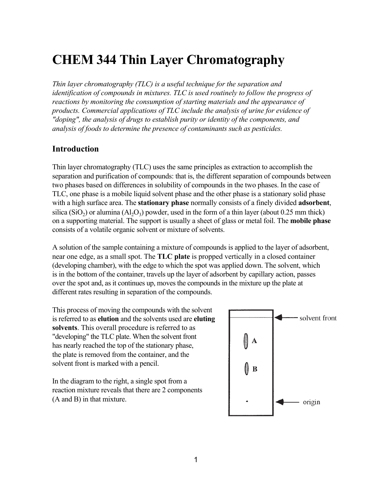# **CHEM 344 Thin Layer Chromatography**

*Thin layer chromatography (TLC) is a useful technique for the separation and identification of compounds in mixtures. TLC is used routinely to follow the progress of reactions by monitoring the consumption of starting materials and the appearance of products. Commercial applications of TLC include the analysis of urine for evidence of "doping", the analysis of drugs to establish purity or identity of the components, and analysis of foods to determine the presence of contaminants such as pesticides.* 

# **Introduction**

Thin layer chromatography (TLC) uses the same principles as extraction to accomplish the separation and purification of compounds: that is, the different separation of compounds between two phases based on differences in solubility of compounds in the two phases. In the case of TLC, one phase is a mobile liquid solvent phase and the other phase is a stationary solid phase with a high surface area. The **stationary phase** normally consists of a finely divided **adsorbent**, silica (SiO<sub>2</sub>) or alumina (Al<sub>2</sub>O<sub>3</sub>) powder, used in the form of a thin layer (about 0.25 mm thick) on a supporting material. The support is usually a sheet of glass or metal foil. The **mobile phase**  consists of a volatile organic solvent or mixture of solvents.

A solution of the sample containing a mixture of compounds is applied to the layer of adsorbent, near one edge, as a small spot. The **TLC plate** is propped vertically in a closed container (developing chamber), with the edge to which the spot was applied down. The solvent, which is in the bottom of the container, travels up the layer of adsorbent by capillary action, passes over the spot and, as it continues up, moves the compounds in the mixture up the plate at different rates resulting in separation of the compounds.

This process of moving the compounds with the solvent is referred to as **elution** and the solvents used are **eluting solvents**. This overall procedure is referred to as "developing" the TLC plate. When the solvent front has nearly reached the top of the stationary phase, the plate is removed from the container, and the solvent front is marked with a pencil.

In the diagram to the right, a single spot from a reaction mixture reveals that there are 2 components (A and B) in that mixture.

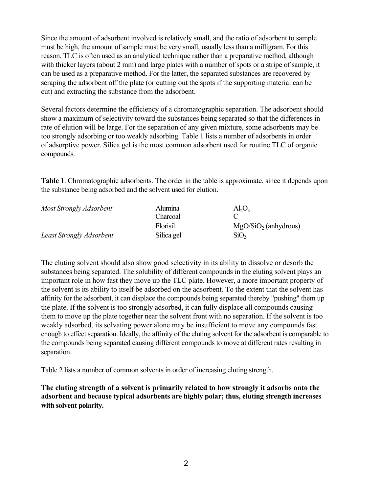Since the amount of adsorbent involved is relatively small, and the ratio of adsorbent to sample must be high, the amount of sample must be very small, usually less than a milligram. For this reason, TLC is often used as an analytical technique rather than a preparative method, although with thicker layers (about 2 mm) and large plates with a number of spots or a stripe of sample, it can be used as a preparative method. For the latter, the separated substances are recovered by scraping the adsorbent off the plate (or cutting out the spots if the supporting material can be cut) and extracting the substance from the adsorbent.

Several factors determine the efficiency of a chromatographic separation. The adsorbent should show a maximum of selectivity toward the substances being separated so that the differences in rate of elution will be large. For the separation of any given mixture, some adsorbents may be too strongly adsorbing or too weakly adsorbing. Table 1 lists a number of adsorbents in order of adsorptive power. Silica gel is the most common adsorbent used for routine TLC of organic compounds.

**Table 1**. Chromatographic adsorbents. The order in the table is approximate, since it depends upon the substance being adsorbed and the solvent used for elution.

| Most Strongly Adsorbent         | <b>Alumina</b> | $Al_2O_3$              |
|---------------------------------|----------------|------------------------|
|                                 | Charcoal       |                        |
|                                 | Florisil       | $MgO/SiO2$ (anhydrous) |
| <b>Least Strongly Adsorbent</b> | Silica gel     | SiO <sub>2</sub>       |

The eluting solvent should also show good selectivity in its ability to dissolve or desorb the substances being separated. The solubility of different compounds in the eluting solvent plays an important role in how fast they move up the TLC plate. However, a more important property of the solvent is its ability to itself be adsorbed on the adsorbent. To the extent that the solvent has affinity for the adsorbent, it can displace the compounds being separated thereby "pushing" them up the plate. If the solvent is too strongly adsorbed, it can fully displace all compounds causing them to move up the plate together near the solvent front with no separation. If the solvent is too weakly adsorbed, its solvating power alone may be insufficient to move any compounds fast enough to effect separation. Ideally, the affinity of the eluting solvent for the adsorbent is comparable to the compounds being separated causing different compounds to move at different rates resulting in separation.

Table 2 lists a number of common solvents in order of increasing eluting strength.

**The eluting strength of a solvent is primarily related to how strongly it adsorbs onto the adsorbent and because typical adsorbents are highly polar; thus, eluting strength increases with solvent polarity.**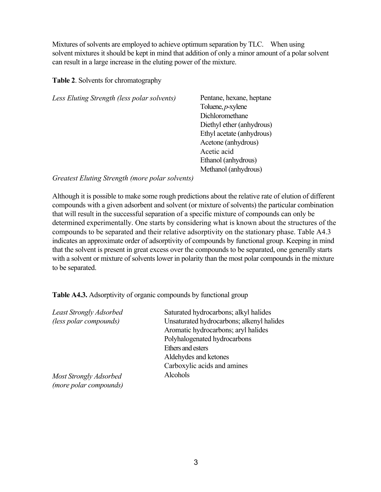Mixtures of solvents are employed to achieve optimum separation by TLC. When using solvent mixtures it should be kept in mind that addition of only a minor amount of a polar solvent can result in a large increase in the eluting power of the mixture.

## **Table 2**. Solvents for chromatography

| Pentane, hexane, heptane  |
|---------------------------|
| Toluene, $p$ -xylene      |
| Dichloromethane           |
| Diethyl ether (anhydrous) |
| Ethyl acetate (anhydrous) |
| Acetone (anhydrous)       |
| Acetic acid               |
| Ethanol (anhydrous)       |
| Methanol (anhydrous)      |
|                           |

### *Greatest Eluting Strength (more polar solvents)*

Although it is possible to make some rough predictions about the relative rate of elution of different compounds with a given adsorbent and solvent (or mixture of solvents) the particular combination that will result in the successful separation of a specific mixture of compounds can only be determined experimentally. One starts by considering what is known about the structures of the compounds to be separated and their relative adsorptivity on the stationary phase. Table A4.3 indicates an approximate order of adsorptivity of compounds by functional group. Keeping in mind that the solvent is present in great excess over the compounds to be separated, one generally starts with a solvent or mixture of solvents lower in polarity than the most polar compounds in the mixture to be separated.

**Table A4.3.** Adsorptivity of organic compounds by functional group

| <b>Least Strongly Adsorbed</b> | Saturated hydrocarbons; alkyl halides     |
|--------------------------------|-------------------------------------------|
| (less polar compounds)         | Unsaturated hydrocarbons; alkenyl halides |
|                                | Aromatic hydrocarbons; aryl halides       |
|                                | Polyhalogenated hydrocarbons              |
|                                | Ethers and esters                         |
|                                | Aldehydes and ketones                     |
|                                | Carboxylic acids and amines               |
| Most Strongly Adsorbed         | Alcohols                                  |
| (more polar compounds)         |                                           |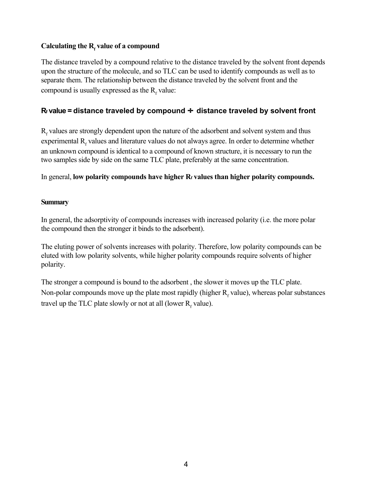# Calculating the R<sub>f</sub> value of a compound

The distance traveled by a compound relative to the distance traveled by the solvent front depends upon the structure of the molecule, and so TLC can be used to identify compounds as well as to separate them. The relationship between the distance traveled by the solvent front and the compound is usually expressed as the  $R_f$  value:

# **Rf value = distance traveled by compound** ÷ **distance traveled by solvent front**

 $R_f$  values are strongly dependent upon the nature of the adsorbent and solvent system and thus experimental  $R_f$  values and literature values do not always agree. In order to determine whether an unknown compound is identical to a compound of known structure, it is necessary to run the two samples side by side on the same TLC plate, preferably at the same concentration.

In general, **low polarity compounds have higher Rf values than higher polarity compounds.**

# **Summary**

In general, the adsorptivity of compounds increases with increased polarity (i.e. the more polar the compound then the stronger it binds to the adsorbent).

The eluting power of solvents increases with polarity. Therefore, low polarity compounds can be eluted with low polarity solvents, while higher polarity compounds require solvents of higher polarity.

The stronger a compound is bound to the adsorbent , the slower it moves up the TLC plate. Non-polar compounds move up the plate most rapidly (higher  $R_f$  value), whereas polar substances travel up the TLC plate slowly or not at all (lower  $R_f$  value).